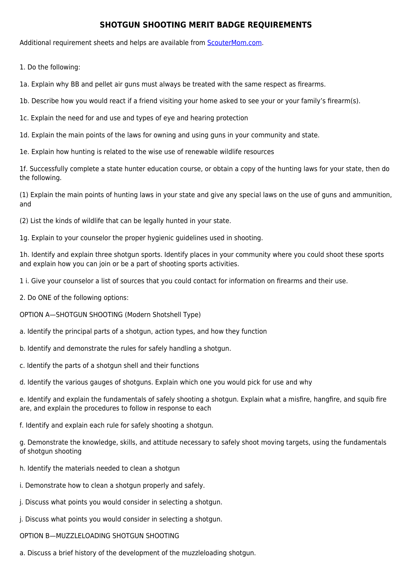## **SHOTGUN SHOOTING MERIT BADGE REQUIREMENTS**

Additional requirement sheets and helps are available from [ScouterMom.com](http://scoutermom.com).

1. Do the following:

1a. Explain why BB and pellet air guns must always be treated with the same respect as firearms.

1b. Describe how you would react if a friend visiting your home asked to see your or your family's firearm(s).

1c. Explain the need for and use and types of eye and hearing protection

1d. Explain the main points of the laws for owning and using guns in your community and state.

1e. Explain how hunting is related to the wise use of renewable wildlife resources

1f. Successfully complete a state hunter education course, or obtain a copy of the hunting laws for your state, then do the following.

(1) Explain the main points of hunting laws in your state and give any special laws on the use of guns and ammunition, and

(2) List the kinds of wildlife that can be legally hunted in your state.

1g. Explain to your counselor the proper hygienic guidelines used in shooting.

1h. Identify and explain three shotgun sports. Identify places in your community where you could shoot these sports and explain how you can join or be a part of shooting sports activities.

1 i. Give your counselor a list of sources that you could contact for information on firearms and their use.

- 2. Do ONE of the following options:
- OPTION A—SHOTGUN SHOOTING (Modern Shotshell Type)
- a. Identify the principal parts of a shotgun, action types, and how they function
- b. Identify and demonstrate the rules for safely handling a shotgun.
- c. Identify the parts of a shotgun shell and their functions

d. Identify the various gauges of shotguns. Explain which one you would pick for use and why

e. Identify and explain the fundamentals of safely shooting a shotgun. Explain what a misfire, hangfire, and squib fire are, and explain the procedures to follow in response to each

f. Identify and explain each rule for safely shooting a shotgun.

g. Demonstrate the knowledge, skills, and attitude necessary to safely shoot moving targets, using the fundamentals of shotgun shooting

- h. Identify the materials needed to clean a shotgun
- i. Demonstrate how to clean a shotgun properly and safely.
- j. Discuss what points you would consider in selecting a shotgun.
- j. Discuss what points you would consider in selecting a shotgun.
- OPTION B—MUZZLELOADING SHOTGUN SHOOTING
- a. Discuss a brief history of the development of the muzzleloading shotgun.